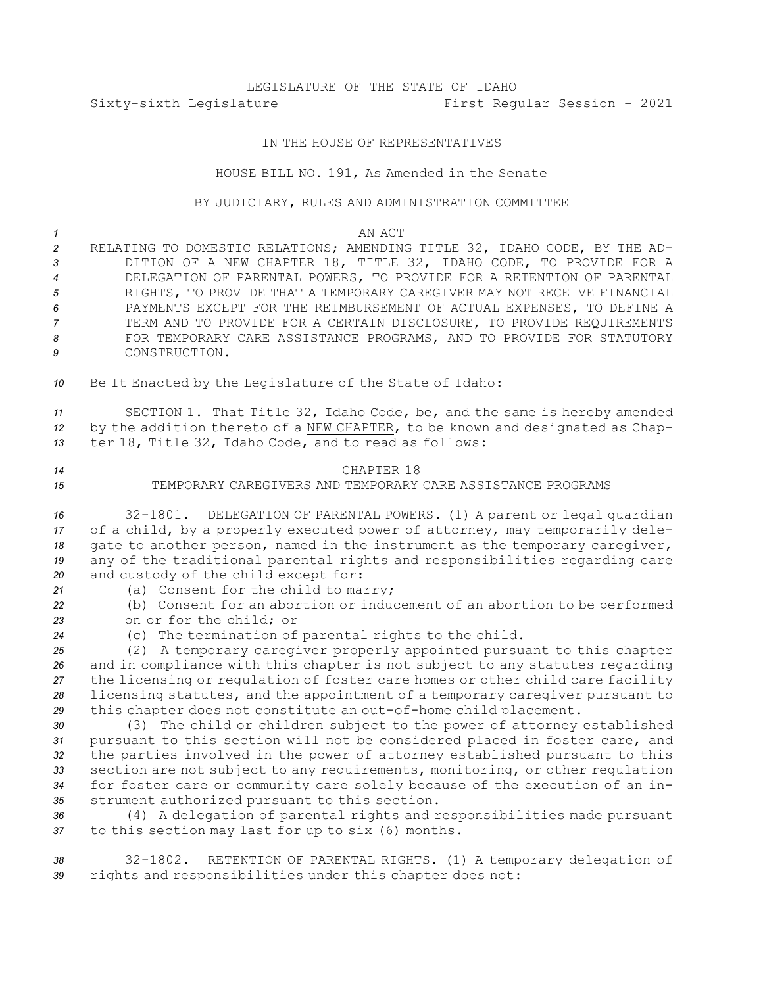# LEGISLATURE OF THE STATE OF IDAHO Sixty-sixth Legislature First Regular Session - 2021

### IN THE HOUSE OF REPRESENTATIVES

#### HOUSE BILL NO. 191, As Amended in the Senate

#### BY JUDICIARY, RULES AND ADMINISTRATION COMMITTEE

#### *1* AN ACT

- *<sup>2</sup>* RELATING TO DOMESTIC RELATIONS; AMENDING TITLE 32, IDAHO CODE, BY THE AD-*<sup>3</sup>* DITION OF A NEW CHAPTER 18, TITLE 32, IDAHO CODE, TO PROVIDE FOR A *4* DELEGATION OF PARENTAL POWERS, TO PROVIDE FOR A RETENTION OF PARENTAL *5* RIGHTS, TO PROVIDE THAT A TEMPORARY CAREGIVER MAY NOT RECEIVE FINANCIAL *6* PAYMENTS EXCEPT FOR THE REIMBURSEMENT OF ACTUAL EXPENSES, TO DEFINE A *7* TERM AND TO PROVIDE FOR A CERTAIN DISCLOSURE, TO PROVIDE REQUIREMENTS 8 FOR TEMPORARY CARE ASSISTANCE PROGRAMS, AND TO PROVIDE FOR STATUTORY *9* CONSTRUCTION.
- *<sup>10</sup>* Be It Enacted by the Legislature of the State of Idaho:

*<sup>11</sup>* SECTION 1. That Title 32, Idaho Code, be, and the same is hereby amended *<sup>12</sup>* by the addition thereto of <sup>a</sup> NEW CHAPTER, to be known and designated as Chap-*<sup>13</sup>* ter 18, Title 32, Idaho Code, and to read as follows:

## *14* CHAPTER 18 *15* TEMPORARY CAREGIVERS AND TEMPORARY CARE ASSISTANCE PROGRAMS

 32-1801. DELEGATION OF PARENTAL POWERS. (1) <sup>A</sup> parent or legal guardian of <sup>a</sup> child, by <sup>a</sup> properly executed power of attorney, may temporarily dele- gate to another person, named in the instrument as the temporary caregiver, any of the traditional parental rights and responsibilities regarding care and custody of the child except for:

- 
- *<sup>21</sup>* (a) Consent for the child to marry;

*<sup>22</sup>* (b) Consent for an abortion or inducement of an abortion to be performed *23* on or for the child; or

*<sup>24</sup>* (c) The termination of parental rights to the child.

 (2) <sup>A</sup> temporary caregiver properly appointed pursuant to this chapter and in compliance with this chapter is not subject to any statutes regarding the licensing or regulation of foster care homes or other child care facility licensing statutes, and the appointment of <sup>a</sup> temporary caregiver pursuant to this chapter does not constitute an out-of-home child placement.

 (3) The child or children subject to the power of attorney established pursuant to this section will not be considered placed in foster care, and the parties involved in the power of attorney established pursuant to this section are not subject to any requirements, monitoring, or other regulation for foster care or community care solely because of the execution of an in-strument authorized pursuant to this section.

*<sup>36</sup>* (4) <sup>A</sup> delegation of parental rights and responsibilities made pursuant *<sup>37</sup>* to this section may last for up to six (6) months.

*<sup>38</sup>* 32-1802. RETENTION OF PARENTAL RIGHTS. (1) <sup>A</sup> temporary delegation of *<sup>39</sup>* rights and responsibilities under this chapter does not: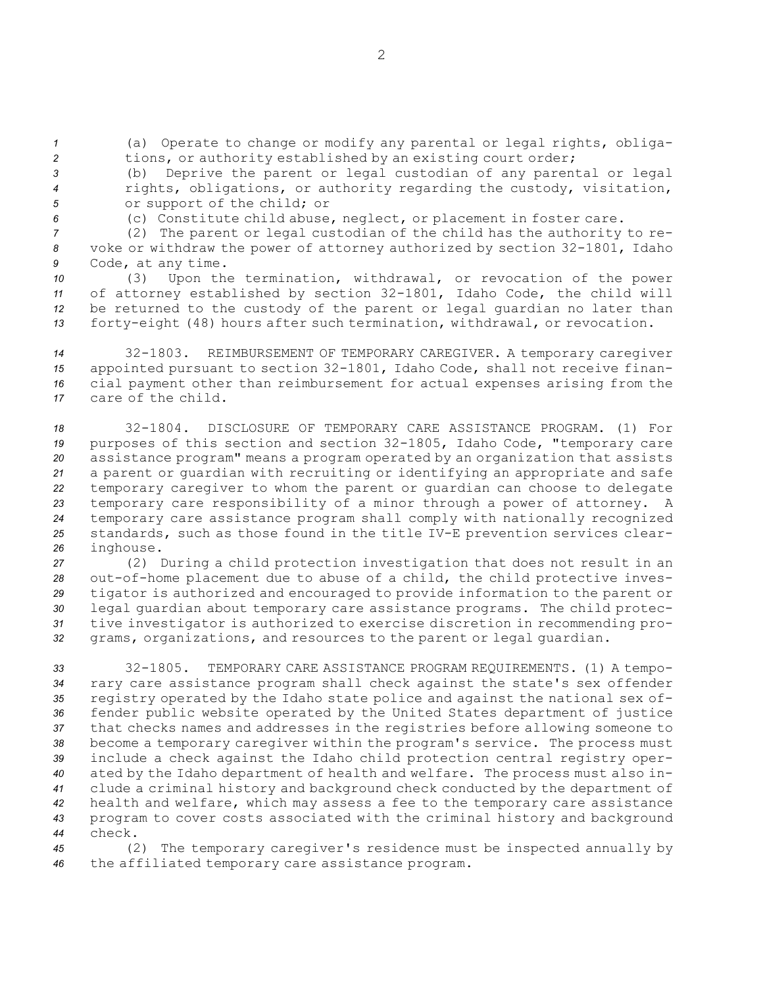*<sup>1</sup>* (a) Operate to change or modify any parental or legal rights, obliga-*<sup>2</sup>* tions, or authority established by an existing court order;

*<sup>3</sup>* (b) Deprive the parent or legal custodian of any parental or legal *<sup>4</sup>* rights, obligations, or authority regarding the custody, visitation, *<sup>5</sup>* or support of the child; or

*<sup>6</sup>* (c) Constitute child abuse, neglect, or placement in foster care.

*<sup>7</sup>* (2) The parent or legal custodian of the child has the authority to re-*<sup>8</sup>* voke or withdraw the power of attorney authorized by section 32-1801, Idaho *<sup>9</sup>* Code, at any time.

 (3) Upon the termination, withdrawal, or revocation of the power of attorney established by section 32-1801, Idaho Code, the child will be returned to the custody of the parent or legal guardian no later than forty-eight (48) hours after such termination, withdrawal, or revocation.

 32-1803. REIMBURSEMENT OF TEMPORARY CAREGIVER. <sup>A</sup> temporary caregiver appointed pursuant to section 32-1801, Idaho Code, shall not receive finan- cial payment other than reimbursement for actual expenses arising from the care of the child.

 32-1804. DISCLOSURE OF TEMPORARY CARE ASSISTANCE PROGRAM. (1) For purposes of this section and section 32-1805, Idaho Code, "temporary care assistance program" means <sup>a</sup> program operated by an organization that assists <sup>a</sup> parent or guardian with recruiting or identifying an appropriate and safe temporary caregiver to whom the parent or guardian can choose to delegate temporary care responsibility of <sup>a</sup> minor through <sup>a</sup> power of attorney. <sup>A</sup> temporary care assistance program shall comply with nationally recognized standards, such as those found in the title IV-E prevention services clear-inghouse.

 (2) During <sup>a</sup> child protection investigation that does not result in an out-of-home placement due to abuse of <sup>a</sup> child, the child protective inves- tigator is authorized and encouraged to provide information to the parent or legal guardian about temporary care assistance programs. The child protec- tive investigator is authorized to exercise discretion in recommending pro-grams, organizations, and resources to the parent or legal guardian.

 32-1805. TEMPORARY CARE ASSISTANCE PROGRAM REQUIREMENTS. (1) A tempo- rary care assistance program shall check against the state's sex offender registry operated by the Idaho state police and against the national sex of- fender public website operated by the United States department of justice that checks names and addresses in the registries before allowing someone to become <sup>a</sup> temporary caregiver within the program's service. The process must include <sup>a</sup> check against the Idaho child protection central registry oper- ated by the Idaho department of health and welfare. The process must also in- clude <sup>a</sup> criminal history and background check conducted by the department of health and welfare, which may assess <sup>a</sup> fee to the temporary care assistance program to cover costs associated with the criminal history and background *44* check.

*<sup>45</sup>* (2) The temporary caregiver's residence must be inspected annually by *<sup>46</sup>* the affiliated temporary care assistance program.